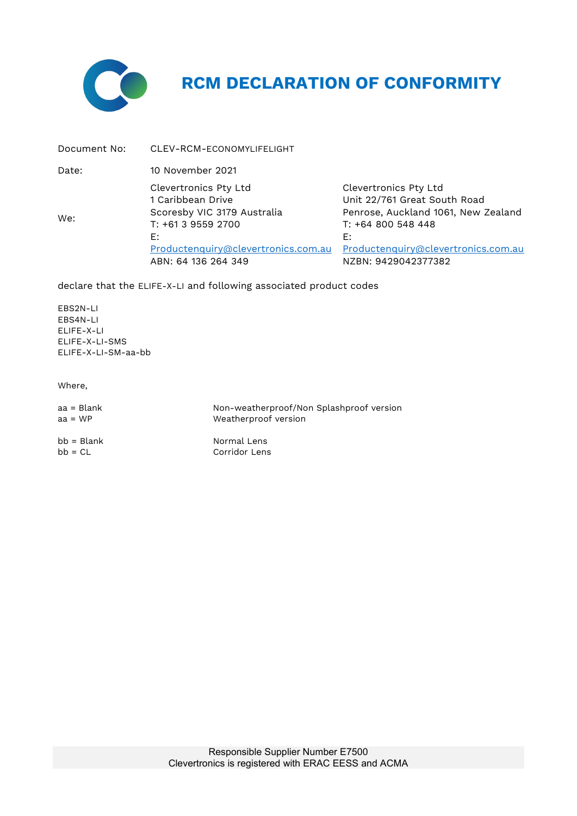

## **RCM DECLARATION OF CONFORMITY**

| Document No: | CLEV-RCM-ECONOMYLIFELIGHT                                                                                                                                           |                                                                                                                                                                                        |
|--------------|---------------------------------------------------------------------------------------------------------------------------------------------------------------------|----------------------------------------------------------------------------------------------------------------------------------------------------------------------------------------|
| Date:        | 10 November 2021                                                                                                                                                    |                                                                                                                                                                                        |
| We:          | Clevertronics Pty Ltd<br>1 Caribbean Drive<br>Scoresby VIC 3179 Australia<br>T: +61 3 9559 2700<br>E:<br>Productenguiry@clevertronics.com.au<br>ABN: 64 136 264 349 | Clevertronics Pty Ltd<br>Unit 22/761 Great South Road<br>Penrose, Auckland 1061, New Zealand<br>T: +64 800 548 448<br>E:<br>Productenquiry@clevertronics.com.au<br>NZBN: 9429042377382 |

declare that the ELIFE-X-LI and following associated product codes

EBS2N-LI EBS4N-LI ELIFE-X-LI ELIFE-X-LI-SMS ELIFE-X-LI-SM-aa-bb

Where,

| aa = Blank   | Non-weatherproof/Non Splashproof version |
|--------------|------------------------------------------|
| $aa = WP$    | Weatherproof version                     |
| $bb = Blank$ | Normal Lens                              |
| $bb = CL$    | Corridor Lens                            |